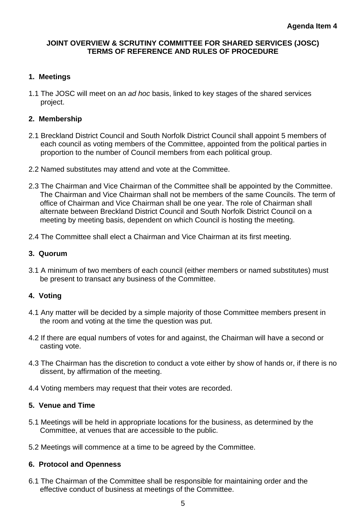#### **JOINT OVERVIEW & SCRUTINY COMMITTEE FOR SHARED SERVICES (JOSC) TERMS OF REFERENCE AND RULES OF PROCEDURE**

# **1. Meetings**

1.1 The JOSC will meet on an *ad hoc* basis, linked to key stages of the shared services project.

#### **2. Membership**

- 2.1 Breckland District Council and South Norfolk District Council shall appoint 5 members of each council as voting members of the Committee, appointed from the political parties in proportion to the number of Council members from each political group.
- 2.2 Named substitutes may attend and vote at the Committee.
- 2.3 The Chairman and Vice Chairman of the Committee shall be appointed by the Committee. The Chairman and Vice Chairman shall not be members of the same Councils. The term of office of Chairman and Vice Chairman shall be one year. The role of Chairman shall alternate between Breckland District Council and South Norfolk District Council on a meeting by meeting basis, dependent on which Council is hosting the meeting.
- 2.4 The Committee shall elect a Chairman and Vice Chairman at its first meeting.

#### **3. Quorum**

3.1 A minimum of two members of each council (either members or named substitutes) must be present to transact any business of the Committee.

# **4. Voting**

- 4.1 Any matter will be decided by a simple majority of those Committee members present in the room and voting at the time the question was put.
- 4.2 If there are equal numbers of votes for and against, the Chairman will have a second or casting vote.
- 4.3 The Chairman has the discretion to conduct a vote either by show of hands or, if there is no dissent, by affirmation of the meeting.
- 4.4 Voting members may request that their votes are recorded.

# **5. Venue and Time**

- 5.1 Meetings will be held in appropriate locations for the business, as determined by the Committee, at venues that are accessible to the public.
- 5.2 Meetings will commence at a time to be agreed by the Committee.

# **6. Protocol and Openness**

6.1 The Chairman of the Committee shall be responsible for maintaining order and the effective conduct of business at meetings of the Committee.